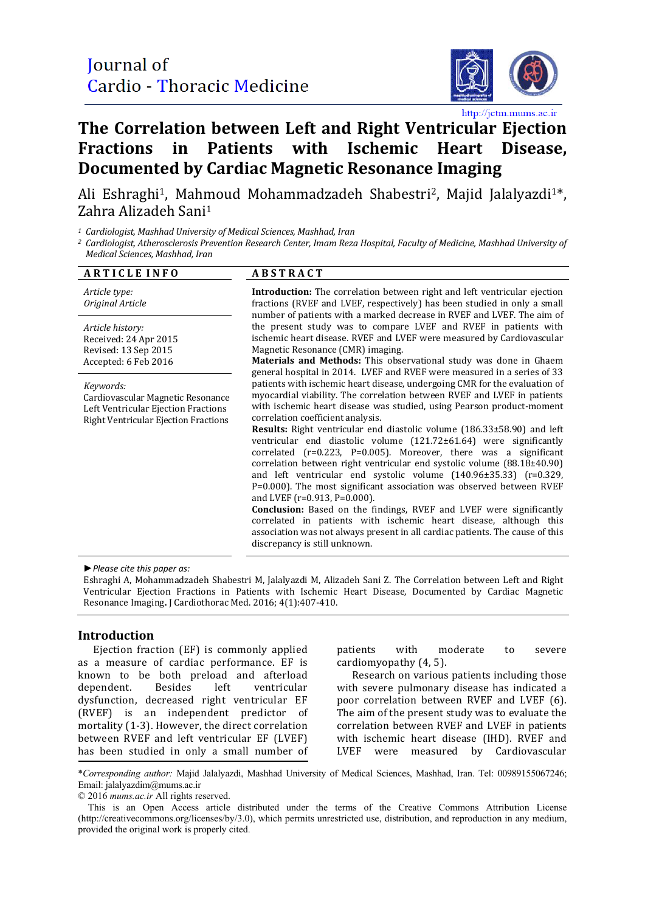

http://jctm.mums.ac.ir

# **The Correlation between Left and Right Ventricular Ejection Fractions in Patients with Ischemic Heart Disease, Documented by Cardiac Magnetic Resonance Imaging**

Ali Eshraghi<sup>1</sup>, Mahmoud Mohammadzadeh Shabestri<sup>2</sup>, Majid Jalalyazdi<sup>1\*</sup>, Zahra Alizadeh Sani1

*<sup>1</sup> Cardiologist, Mashhad University of Medical Sciences, Mashhad, Iran*

*<sup>2</sup> Cardiologist, Atherosclerosis Prevention Research Center, Imam Reza Hospital, Faculty of Medicine, Mashhad University of Medical Sciences, Mashhad, Iran*

| <b>ARTICLE INFO</b>                                                                                                                  | <b>ABSTRACT</b>                                                                                                                                                                                                                                                                                                                                                                                                                                    |
|--------------------------------------------------------------------------------------------------------------------------------------|----------------------------------------------------------------------------------------------------------------------------------------------------------------------------------------------------------------------------------------------------------------------------------------------------------------------------------------------------------------------------------------------------------------------------------------------------|
| Article type:<br>Original Article                                                                                                    | <b>Introduction:</b> The correlation between right and left ventricular ejection<br>fractions (RVEF and LVEF, respectively) has been studied in only a small<br>number of patients with a marked decrease in RVEF and LVEF. The aim of                                                                                                                                                                                                             |
| Article history:<br>Received: 24 Apr 2015<br>Revised: 13 Sep 2015<br>Accepted: 6 Feb 2016                                            | the present study was to compare LVEF and RVEF in patients with<br>ischemic heart disease. RVEF and LVEF were measured by Cardiovascular<br>Magnetic Resonance (CMR) imaging.<br>Materials and Methods: This observational study was done in Ghaem<br>general hospital in 2014. LVEF and RVEF were measured in a series of 33                                                                                                                      |
| Keywords:<br>Cardiovascular Magnetic Resonance<br>Left Ventricular Ejection Fractions<br><b>Right Ventricular Ejection Fractions</b> | patients with ischemic heart disease, undergoing CMR for the evaluation of<br>myocardial viability. The correlation between RVEF and LVEF in patients<br>with ischemic heart disease was studied, using Pearson product-moment<br>correlation coefficient analysis.                                                                                                                                                                                |
|                                                                                                                                      | Results: Right ventricular end diastolic volume (186.33±58.90) and left<br>ventricular end diastolic volume (121.72±61.64) were significantly<br>correlated $(r=0.223, P=0.005)$ . Moreover, there was a significant<br>correlation between right ventricular end systolic volume $(88.18 \pm 40.90)$<br>and left ventricular end systolic volume (140.96±35.33) (r=0.329,<br>P=0.000). The most significant association was observed between RVEF |
|                                                                                                                                      | and LVEF ( $r=0.913$ , $P=0.000$ ).<br>Conclusion: Based on the findings, RVEF and LVEF were significantly<br>correlated in patients with ischemic heart disease, although this<br>association was not always present in all cardiac patients. The cause of this<br>discrepancy is still unknown.                                                                                                                                                  |
|                                                                                                                                      |                                                                                                                                                                                                                                                                                                                                                                                                                                                    |

*►Please cite this paper as:*

Eshraghi A, Mohammadzadeh Shabestri M, Jalalyazdi M, Alizadeh Sani Z. The Correlation between Left and Right Ventricular Ejection Fractions in Patients with Ischemic Heart Disease, Documented by Cardiac Magnetic Resonance Imaging**.** J Cardiothorac Med. 2016; 4(1):407-410.

## **Introduction**

Ejection fraction (EF) is commonly applied as a measure of cardiac performance. EF is known to be both preload and afterload dependent. Besides left ventricular dysfunction, decreased right ventricular EF (RVEF) is an independent predictor of mortality (1-3). However, the direct correlation between RVEF and left ventricular EF (LVEF) has been studied in only a small number of

patients with moderate to severe cardiomyopathy (4, 5).

Research on various patients including those with severe pulmonary disease has indicated a poor correlation between RVEF and LVEF (6). The aim of the present study was to evaluate the correlation between RVEF and LVEF in patients with ischemic heart disease (IHD). RVEF and LVEF were measured by Cardiovascular were measured by Cardiovascular

\**Corresponding author:* Majid Jalalyazdi, Mashhad University of Medical Sciences, Mashhad, Iran. Tel: 00989155067246; Email[: jalalyazdim@mums.ac.ir](mailto:jalalyazdim@mums.ac.ir)

© 2016 *mums.ac.ir* All rights reserved.

This is an Open Access article distributed under the terms of the Creative Commons Attribution License (http://creativecommons.org/licenses/by/3.0), which permits unrestricted use, distribution, and reproduction in any medium, provided the original work is properly cited.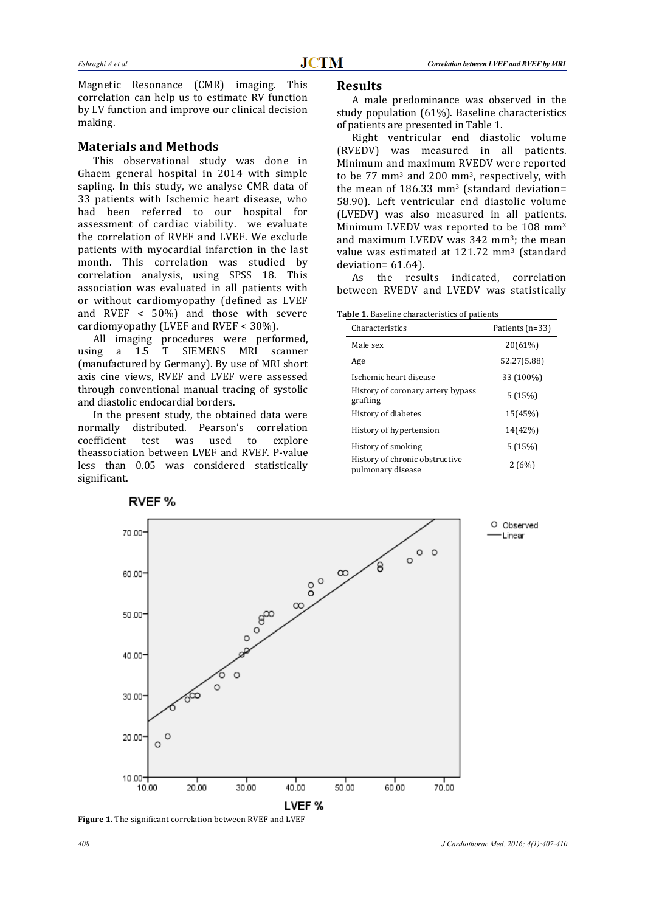Magnetic Resonance (CMR) imaging. This correlation can help us to estimate RV function by LV function and improve our clinical decision making.

## **Materials and Methods**

This observational study was done in Ghaem general hospital in 2014 with simple sapling. In this study, we analyse CMR data of 33 patients with Ischemic heart disease, who had been referred to our hospital for assessment of cardiac viability. we evaluate the correlation of RVEF and LVEF. We exclude patients with myocardial infarction in the last month. This correlation was studied by correlation analysis, using SPSS 18. This association was evaluated in all patients with or without cardiomyopathy (defined as LVEF and RVEF < 50%) and those with severe cardiomyopathy (LVEF and RVEF < 30%).

All imaging procedures were performed,<br>using a 1.5 T SIEMENS MRI scanner T SIEMENS MRI scanner (manufactured by Germany). By use of MRI short axis cine views, RVEF and LVEF were assessed through conventional manual tracing of systolic and diastolic endocardial borders.

In the present study, the obtained data were normally distributed. Pearson's correlation coefficient test was used to explore coefficient theassociation between LVEF and RVEF. P-value less than 0.05 was considered statistically significant.

### **Results**

A male predominance was observed in the study population (61%). Baseline characteristics of patients are presented in Table 1.

Right ventricular end diastolic volume (RVEDV) was measured in all patients. Minimum and maximum RVEDV were reported to be 77 mm3 and 200 mm3, respectively, with the mean of  $186.33$  mm<sup>3</sup> (standard deviation= 58.90). Left ventricular end diastolic volume (LVEDV) was also measured in all patients. Minimum LVEDV was reported to be 108 mm3 and maximum LVEDV was 342 mm<sup>3</sup>; the mean value was estimated at 121.72 mm<sup>3</sup> (standard deviation= 61.64).

As the results indicated, correlation between RVEDV and LVEDV was statistically

**Table 1.** Baseline characteristics of patients

| Characteristics                                     | Patients (n=33) |
|-----------------------------------------------------|-----------------|
| Male sex                                            | 20(61%)         |
| Age                                                 | 52.27(5.88)     |
| Ischemic heart disease                              | 33 (100%)       |
| History of coronary artery bypass<br>grafting       | 5(15%)          |
| History of diabetes                                 | 15(45%)         |
| History of hypertension                             | 14(42%)         |
| History of smoking                                  | 5(15%)          |
| History of chronic obstructive<br>pulmonary disease | 2(6%)           |



**Figure 1.** The significant correlation between RVEF and LVEF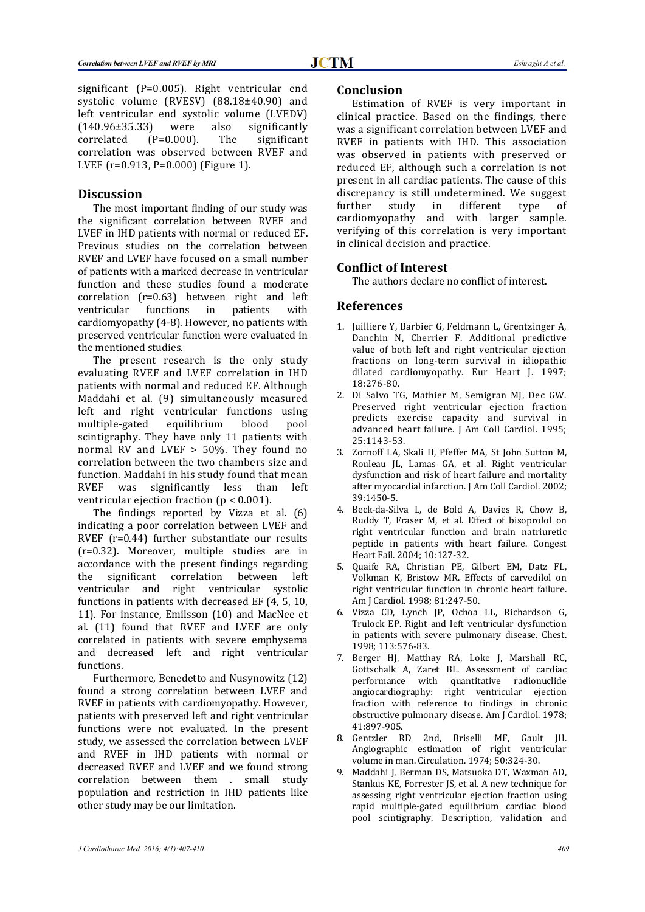significant (P=0.005). Right ventricular end systolic volume (RVESV) (88.18±40.90) and left ventricular end systolic volume (LVEDV)<br>(140.96±35.33) were also significantly  $(140.96\pm 35.33)$  were also significantly<br>correlated  $(P=0.000)$ . The significant correlated (P=0.000). The significant correlation was observed between RVEF and LVEF (r=0.913, P=0.000) (Figure 1).

#### **Discussion**

The most important finding of our study was the significant correlation between RVEF and LVEF in IHD patients with normal or reduced EF. Previous studies on the correlation between RVEF and LVEF have focused on a small number of patients with a marked decrease in ventricular function and these studies found a moderate correlation (r=0.63) between right and left<br>ventricular functions in patients with ventricular functions in patients with cardiomyopathy (4-8). However, no patients with preserved ventricular function were evaluated in the mentioned studies.

The present research is the only study evaluating RVEF and LVEF correlation in IHD patients with normal and reduced EF. Although Maddahi et al. (9) simultaneously measured left and right ventricular functions using equilibrium scintigraphy. They have only 11 patients with normal RV and LVEF > 50%. They found no correlation between the two chambers size and function. Maddahi in his study found that mean<br>RVEF was significantly less than left significantly less than left ventricular ejection fraction (p < 0.001).

The findings reported by Vizza et al. (6) indicating a poor correlation between LVEF and RVEF (r=0.44) further substantiate our results (r=0.32). Moreover, multiple studies are in accordance with the present findings regarding<br>the significant correlation between left correlation between left ventricular and right ventricular systolic functions in patients with decreased EF (4, 5, 10, 11). For instance, Emilsson (10) and MacNee et al. (11) found that RVEF and LVEF are only correlated in patients with severe emphysema and decreased left and right ventricular functions.

Furthermore, Benedetto and Nusynowitz (12) found a strong correlation between LVEF and RVEF in patients with cardiomyopathy. However, patients with preserved left and right ventricular functions were not evaluated. In the present study, we assessed the correlation between LVEF and RVEF in IHD patients with normal or decreased RVEF and LVEF and we found strong correlation between them . small study population and restriction in IHD patients like other study may be our limitation.

### **Conclusion**

Estimation of RVEF is very important in clinical practice. Based on the findings, there was a significant correlation between LVEF and RVEF in patients with IHD. This association was observed in patients with preserved or reduced EF, although such a correlation is not present in all cardiac patients. The cause of this discrepancy is still undetermined. We suggest<br>further study in different type of further study in different type of cardiomyopathy and with larger sample. verifying of this correlation is very important in clinical decision and practice.

## **Conflict of Interest**

The authors declare no conflict of interest.

#### **References**

- 1. Juilliere Y, Barbier G, Feldmann L, Grentzinger A, Danchin N, Cherrier F. Additional predictive value of both left and right ventricular ejection fractions on long-term survival in idiopathic dilated cardiomyopathy. Eur Heart J. 1997; 18:276-80.
- 2. Di Salvo TG, Mathier M, Semigran MJ, Dec GW. Preserved right ventricular ejection fraction predicts exercise capacity and survival in advanced heart failure. J Am Coll Cardiol. 1995; 25:1143-53.
- 3. [Zornoff LA,](http://www.ncbi.nlm.nih.gov/pubmed/?term=Zornoff%20LA%5BAuthor%5D&cauthor=true&cauthor_uid=11985906) [Skali H,](http://www.ncbi.nlm.nih.gov/pubmed/?term=Skali%20H%5BAuthor%5D&cauthor=true&cauthor_uid=11985906) [Pfeffer MA,](http://www.ncbi.nlm.nih.gov/pubmed/?term=Pfeffer%20MA%5BAuthor%5D&cauthor=true&cauthor_uid=11985906) [St John Sutton M,](http://www.ncbi.nlm.nih.gov/pubmed/?term=St%20John%20Sutton%20M%5BAuthor%5D&cauthor=true&cauthor_uid=11985906)  [Rouleau JL,](http://www.ncbi.nlm.nih.gov/pubmed/?term=Rouleau%20JL%5BAuthor%5D&cauthor=true&cauthor_uid=11985906) [Lamas GA,](http://www.ncbi.nlm.nih.gov/pubmed/?term=Lamas%20GA%5BAuthor%5D&cauthor=true&cauthor_uid=11985906) et al. Right ventricular dysfunction and risk of heart failure and mortality after myocardial infarction. J Am Coll Cardiol. 2002; 39:1450-5.
- 4. [Beck-da-Silva L,](http://www.ncbi.nlm.nih.gov/pubmed/?term=Beck-da-Silva%20L%5BAuthor%5D&cauthor=true&cauthor_uid=15184726) [de Bold A,](http://www.ncbi.nlm.nih.gov/pubmed/?term=de%20Bold%20A%5BAuthor%5D&cauthor=true&cauthor_uid=15184726) [Davies R,](http://www.ncbi.nlm.nih.gov/pubmed/?term=Davies%20R%5BAuthor%5D&cauthor=true&cauthor_uid=15184726) [Chow B,](http://www.ncbi.nlm.nih.gov/pubmed/?term=Chow%20B%5BAuthor%5D&cauthor=true&cauthor_uid=15184726)  [Ruddy T,](http://www.ncbi.nlm.nih.gov/pubmed/?term=Ruddy%20T%5BAuthor%5D&cauthor=true&cauthor_uid=15184726) [Fraser M,](http://www.ncbi.nlm.nih.gov/pubmed/?term=Fraser%20M%5BAuthor%5D&cauthor=true&cauthor_uid=15184726) et al. Effect of bisoprolol on right ventricular function and brain natriuretic peptide in patients with heart failure. Congest Heart Fail. 2004; 10:127-32.
- 5. Quaife RA, Christian PE, Gilbert EM, Datz FL, Volkman K, Bristow MR. Effects of carvedilol on right ventricular function in chronic heart failure. Am J Cardiol. 1998; 81:247-50.
- 6. Vizza CD, Lynch JP, Ochoa LL, Richardson G, Trulock EP. Right and left ventricular dysfunction in patients with severe pulmonary disease. Chest. 1998; 113:576-83.
- 7. Berger HJ, Matthay RA, Loke J, Marshall RC, Gottschalk A, Zaret BL. Assessment of cardiac<br>performance with quantitative radionuclide with quantitative radionuclide angiocardiography: right ventricular ejection fraction with reference to findings in chronic obstructive pulmonary disease. Am J Cardiol. 1978; 41:897-905.<br>8. Gentzler RD
- 2nd, Briselli MF, Gault JH. Angiographic estimation of right ventricular volume in man. Circulation. 1974; 50:324-30.
- 9. [Maddahi J,](http://www.ncbi.nlm.nih.gov/pubmed/?term=Maddahi%20J%5BAuthor%5D&cauthor=true&cauthor_uid=455621) [Berman DS,](http://www.ncbi.nlm.nih.gov/pubmed/?term=Berman%20DS%5BAuthor%5D&cauthor=true&cauthor_uid=455621) [Matsuoka DT,](http://www.ncbi.nlm.nih.gov/pubmed/?term=Matsuoka%20DT%5BAuthor%5D&cauthor=true&cauthor_uid=455621) [Waxman AD,](http://www.ncbi.nlm.nih.gov/pubmed/?term=Waxman%20AD%5BAuthor%5D&cauthor=true&cauthor_uid=455621)  [Stankus KE,](http://www.ncbi.nlm.nih.gov/pubmed/?term=Stankus%20KE%5BAuthor%5D&cauthor=true&cauthor_uid=455621) [Forrester JS,](http://www.ncbi.nlm.nih.gov/pubmed/?term=Forrester%20JS%5BAuthor%5D&cauthor=true&cauthor_uid=455621) et al. A new technique for assessing right ventricular ejection fraction using rapid multiple-gated equilibrium cardiac blood pool scintigraphy. Description, validation and